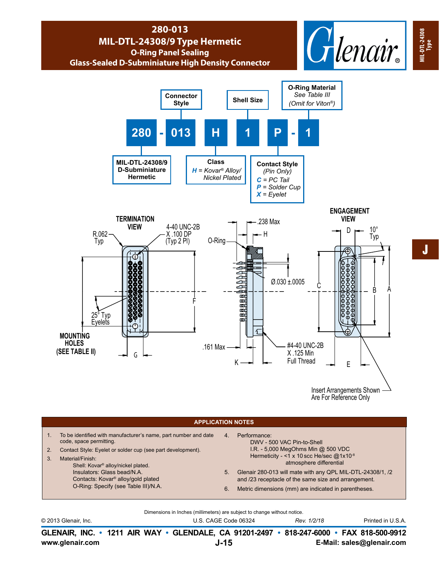## **280-013 MIL-DTL-24308/9 Type Hermetic O-Ring Panel Sealing Glass-Sealed D-Subminiature High Density Connector**





## **APPLICATION NOTES**

| 2.<br>3 | To be identified with manufacturer's name, part number and date<br>code, space permitting.<br>Contact Style: Eyelet or solder cup (see part development).<br>Material/Finish:<br>Shell: Kovar <sup>®</sup> alloy/nickel plated. | 4.       | Performance:<br>DWV - 500 VAC Pin-to-Shell<br>I.R. - 5,000 MegOhms Min @ 500 VDC<br>Hermeticity - <1 x 10 scc He/sec $@1x10^{-8}$<br>atmosphere differential               |
|---------|---------------------------------------------------------------------------------------------------------------------------------------------------------------------------------------------------------------------------------|----------|----------------------------------------------------------------------------------------------------------------------------------------------------------------------------|
|         | Insulators: Glass bead/N.A.<br>Contacts: Kovar <sup>®</sup> alloy/gold plated<br>O-Ring: Specify (see Table III)/N.A.                                                                                                           | 5.<br>6. | Glenair 280-013 will mate with any QPL MIL-DTL-24308/1, /2<br>and /23 receptacle of the same size and arrangement.<br>Metric dimensions (mm) are indicated in parentheses. |

Dimensions in Inches (millimeters) are subject to change without notice. © 2013 Glenair, Inc. U.S. CAGE Code 06324 Printed in U.S.A. *Rev. 1/2/18*

**www.glenair.com E-Mail: sales@glenair.com GLENAIR, INC. • 1211 AIR WAY • GLENDALE, CA 91201-2497 • 818-247-6000 • FAX 818-500-9912 J-15**